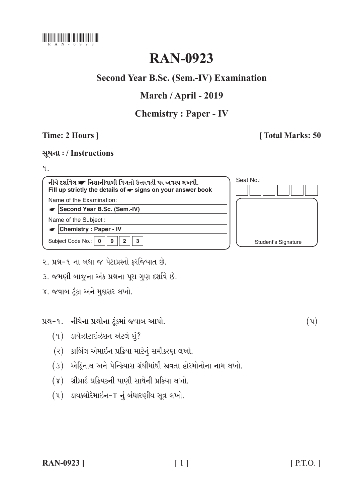

# **RAN-0923**

## **Second Year B.Sc. (Sem.-IV) Examination**

## March / April - 2019

## **Chemistry: Paper - IV**

## Time: 2 Hours 1

## **Total Marks: 50**

### સૂચના: / Instructions

### $9.1$

નીચે દર્શાવેલ σ નિશાનીવાળી વિગતો ઉત્તરવહી પર અવશ્ય લખવી. Seat No.: Fill up strictly the details of  $\bullet$  signs on your answer book Name of the Examination: Second Year B.Sc. (Sem.-IV) Name of the Subject: Chemistry : Paper - IV  $2<sup>1</sup>$ Subject Code No.: 0  $\overline{9}$  $\overline{3}$ Student's Signature

- ર. પ્રશ્ન-૧ ના બધા જ પેટાપ્રશ્નો કરજિયાત છે.
- ૩. જમણી બાજના અંક પ્રશ્નના પરા ગણ દર્શાવે છે.
- ૪. જવાબ ટૂંકા અને મુદ્દાસર લખો.

પ્રશ્ન-૧. નીચેના પ્રશ્નોના ટંકમાં જવાબ આપો.

- $(9)$  ડાયેઝોટાઇઝેશન એટલે શું?
- (२) કાર્બિલ એમાઇન પ્રક્રિયા માટેનું સમીકરણ લખો.
- (3) એડ્રિનાલ અને પેન્ક્રિયાસ ગ્રંથીમાંથી સ્રવતા હોરમોનોના નામ લખો.
- (૪) ગ્રીગ્રાર્ડ પ્રક્રિયકની પાણી સાથેની પ્રક્રિયા લખો.
- $(u)$  ડાયકલોરેમાઈન- $T$  નું બંધારણીય સૂત્ર લખો.

 $(\mathfrak{y})$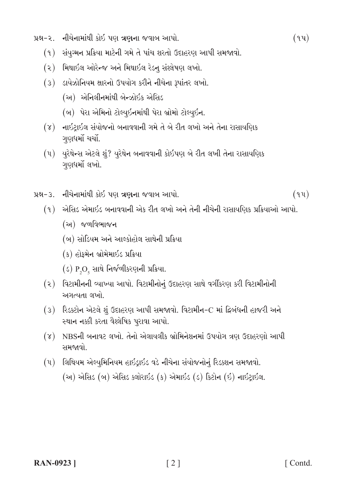- પ્રશ્ન-૨. નીચેનામાંથી કોઇ પણ ત્રણના જવાબ આપો.
	- (૧) સંયુગ્મન પ્રક્રિયા માટેની ગમે તે પાંચ શરતો ઉદાહરણ આપી સમજાવો.
	- (૨) મિથાઇલ ઓરેન્જ અને મિથાઇલ રેડન સંશ્લેષણ લખો.
	- (3) ડાયેઝોનિયમ ક્ષારનો ઉપયોગ કરીને નીચેના રૂપાંતર લખો.
		- (અ) એનિલીનમાંથી બેન્ઝોઇક એસિડ
		- (બ) પેરા એમિનો ટોલ્યુઇનમાંથી પેરા બ્રોમો ટોલ્યુઇન.
	- (૪) નાઇટાઇલ સંયોજનો બનાવવાની ગમે તે બે રીત લખો અને તેના રાસાયણિક ગણધર્મો ચર્ચો.
	- (૫) યુરેથેન્સ એટલે શું? યુરેથેન બનાવવાની કોઇપણ બે રીત લખી તેના રાસાયણિક ગણધર્મો લખો.
- પ્રશ્ન-૩. નીચેનામાંથી કોઇ પણ ત્રણના જવાબ આપો.
	- (૧) એસિડ એમાઇડ બનાવવાની એક રીત લખો અને તેની નીચેની રાસાયણિક પ્રક્રિયાઓ આપો.
		- (અ) જળવિભાજન
		- (બ) સોડિયમ અને આલ્કોહોલ સાથેની પ્રક્રિયા
		- (ક) હોફમેન બ્રોમેમાઇડ પ્રક્રિયા
		- $(s)$  P<sub>2</sub>O<sub>5</sub> સાથે નિર્જળીકરણની પ્રક્રિયા.
	- (૨) વિટામીનની વ્યાખ્યા આપો. વિટામીનોનું ઉદાહરણ સાથે વર્ગીકરણ કરી વિટામીનોની અગત્યતા લખો.
	- (3) રિડક્ટોન એટલે શું ઉદાહરણ આપી સમજાવો. વિટામીન-C માં દ્વિબંધની હાજરી અને સ્થાન નક્કી કરતા વૈશ્લેષિક પુરાવા આપો.
	- (૪) NBSની બનાવટ લખો. તેનો એલાયલીક બ્રોમિનેશનમાં ઉપયોગ ત્રણ ઉદાહરણો આપી સમજાવો
	- (૫) લિથિયમ એલ્યુમિનિયમ હાઇડ્રાઇડ વડે નીચેના સંયોજનોનું રિડક્શન સમજાવો. (અ) એસિડ (બ) એસિડ ક્લોરાઇડ (ક) એમાઇડ (ડ) કિટોન (ઇ) નાઇટ્રાઇલ.

 $(94)$ 

 $(9y)$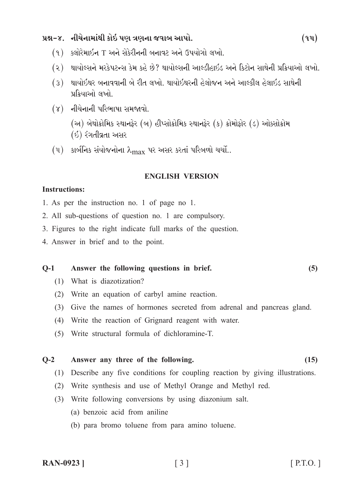## પ્રશ્ન-૪. નીચેનામાંથી કોઇ પણ ત્રણના જવાબ આપો.

- (૧) ક્લોરેમાઇન T અને સેકેરીનની બનાવટ અને ઉપયોગો લખો.
- (૨) થાયોલ્સને મરકેપટન્સ કેમ કહે છે? થાયોલ્સની આલ્ડીહાઇડ અને કિટોન સાથેની પ્રક્રિયાઓ લખો.
- (૩) થાયોઇથર બનાવવાની બે રીત લખો. થાયોઇથરની હેલોજન અને આલ્કીલ હેલાઇડ સાથેની પ્રક્રિયાઓ લખો.
- $(\gamma)$  નીચેનાની પરિભાષા સમજાવો.

(અ) બેથોક્રોમિક સ્થાનફેર (બ) હીપ્સોક્રોમિક સ્થાનફેર (ક) ક્રોમોફોર (ડ) ઓક્સોક્રોમ (ઇ) રંગતીવ્રતા અસર

 $(4)$  કાર્બનિક સંયોજનોના  $\lambda_{\text{max}}$  પર અસર કરતાં પરિબળો ચર્ચો..

#### **ENGLISH VERSION**

#### **Instructions:**

- 1. As per the instruction no. 1 of page no 1.
- 2. All sub-questions of question no. 1 are compulsory.
- 3. Figures to the right indicate full marks of the question.
- 4. Answer in brief and to the point.

#### Answer the following questions in brief.  $O-1$

- (1) What is diazotization?
- (2) Write an equation of carbyl amine reaction.
- (3) Give the names of hormones secreted from adrenal and pancreas gland.
- (4) Write the reaction of Grignard reagent with water.
- (5) Write structural formula of dichloramine-T.

#### $O-2$ Answer any three of the following.

- (1) Describe any five conditions for coupling reaction by giving illustrations.
- (2) Write synthesis and use of Methyl Orange and Methyl red.
- (3) Write following conversions by using diazonium salt.
	- (a) benzoic acid from aniline
	- (b) para bromo toluene from para amino toluene.

 $(5)$ 

 $(15)$